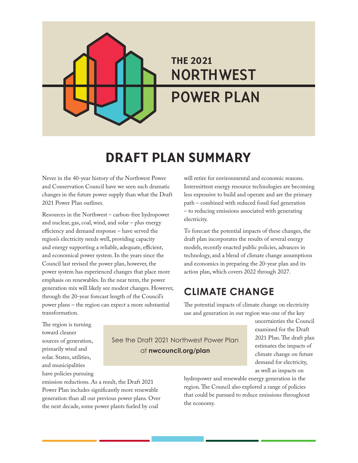# THE 2021 **NORTHWEST POWER PLAN**

# DRAFT PLAN SUMMARY

Never in the 40-year history of the Northwest Power and Conservation Council have we seen such dramatic changes in the future power supply than what the Draft 2021 Power Plan outlines.

Resources in the Northwest – carbon-free hydropower and nuclear, gas, coal, wind, and solar – plus energy efficiency and demand response – have served the region's electricity needs well, providing capacity and energy supporting a reliable, adequate, efficient, and economical power system. In the years since the Council last revised the power plan, however, the power system has experienced changes that place more emphasis on renewables. In the near term, the power generation mix will likely see modest changes. However, through the 20-year forecast length of the Council's power plans – the region can expect a more substantial transformation.

will retire for environmental and economic reasons. Intermittent energy resource technologies are becoming less expensive to build and operate and are the primary path – combined with reduced fossil fuel generation – to reducing emissions associated with generating electricity.

To forecast the potential impacts of these changes, the draft plan incorporates the results of several energy models, recently enacted public policies, advances in technology, and a blend of climate change assumptions and economics in preparing the 20-year plan and its action plan, which covers 2022 through 2027.

### **CLIMATE CHANGE**

The potential impacts of climate change on electricity use and generation in our region was one of the key

The region is turning toward cleaner sources of generation, primarily wind and solar. States, utilities, and municipalities have policies pursuing

See the Draft 2021 Northwest Power Plan at **nwcouncil.org/plan**

uncertainties the Council examined for the Draft 2021 Plan. The draft plan estimates the impacts of climate change on future demand for electricity, as well as impacts on

emission reductions. As a result, the Draft 2021 Power Plan includes significantly more renewable generation than all our previous power plans. Over the next decade, some power plants fueled by coal

hydropower and renewable energy generation in the region. The Council also explored a range of policies that could be pursued to reduce emissions throughout the economy.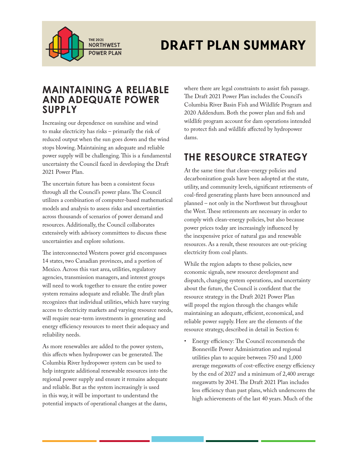

# THE 2021<br>NORTHWEST **DRAFT PLAN SUMMARY**

#### **MAINTAINING A RELIABLE AND ADEQUATE POWER SUPPLY**

Increasing our dependence on sunshine and wind to make electricity has risks – primarily the risk of reduced output when the sun goes down and the wind stops blowing. Maintaining an adequate and reliable power supply will be challenging. This is a fundamental uncertainty the Council faced in developing the Draft 2021 Power Plan.

The uncertain future has been a consistent focus through all the Council's power plans. The Council utilizes a combination of computer-based mathematical models and analysis to assess risks and uncertainties across thousands of scenarios of power demand and resources. Additionally, the Council collaborates extensively with advisory committees to discuss these uncertainties and explore solutions.

The interconnected Western power grid encompasses 14 states, two Canadian provinces, and a portion of Mexico. Across this vast area, utilities, regulatory agencies, transmission managers, and interest groups will need to work together to ensure the entire power system remains adequate and reliable. The draft plan recognizes that individual utilities, which have varying access to electricity markets and varying resource needs, will require near-term investments in generating and energy efficiency resources to meet their adequacy and reliability needs.

As more renewables are added to the power system, this affects when hydropower can be generated. The Columbia River hydropower system can be used to help integrate additional renewable resources into the regional power supply and ensure it remains adequate and reliable. But as the system increasingly is used in this way, it will be important to understand the potential impacts of operational changes at the dams,

where there are legal constraints to assist fish passage. The Draft 2021 Power Plan includes the Council's Columbia River Basin Fish and Wildlife Program and 2020 Addendum. Both the power plan and fish and wildlife program account for dam operations intended to protect fish and wildlife affected by hydropower dams.

## **THE RESOURCE STRATEGY**

At the same time that clean-energy policies and decarbonization goals have been adopted at the state, utility, and community levels, significant retirements of coal-fired generating plants have been announced and planned – not only in the Northwest but throughout the West. These retirements are necessary in order to comply with clean-energy policies, but also because power prices today are increasingly influenced by the inexpensive price of natural gas and renewable resources. As a result, these resources are out-pricing electricity from coal plants.

While the region adapts to these policies, new economic signals, new resource development and dispatch, changing system operations, and uncertainty about the future, the Council is confident that the resource strategy in the Draft 2021 Power Plan will propel the region through the changes while maintaining an adequate, efficient, economical, and reliable power supply. Here are the elements of the resource strategy, described in detail in Section 6:

• Energy efficiency: The Council recommends the Bonneville Power Administration and regional utilities plan to acquire between 750 and 1,000 average megawatts of cost-effective energy efficiency by the end of 2027 and a minimum of 2,400 average megawatts by 2041. The Draft 2021 Plan includes less efficiency than past plans, which underscores the high achievements of the last 40 years. Much of the